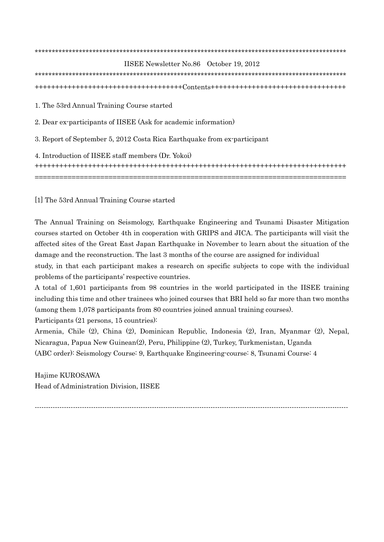| IISEE Newsletter No.86 October 19, 2012                                  |
|--------------------------------------------------------------------------|
|                                                                          |
|                                                                          |
| 1. The 53rd Annual Training Course started                               |
| 2. Dear ex-participants of IISEE (Ask for academic information)          |
| 3. Report of September 5, 2012 Costa Rica Earthquake from ex-participant |
| 4. Introduction of IISEE staff members (Dr. Yokoi)                       |
|                                                                          |

[1] The 53rd Annual Training Course started

The Annual Training on Seismology, Earthquake Engineering and Tsunami Disaster Mitigation courses started on October 4th in cooperation with GRIPS and JICA. The participants will visit the affected sites of the Great East Japan Earthquake in November to learn about the situation of the damage and the reconstruction. The last 3 months of the course are assigned for individual study, in that each participant makes a research on specific subjects to cope with the individual problems of the participants' respective countries.

A total of 1,601 participants from 98 countries in the world participated in the IISEE training including this time and other trainees who joined courses that BRI held so far more than two months (among them 1,078 participants from 80 countries joined annual training courses).

Participants (21 persons, 15 countries):

Armenia, Chile (2), China (2), Dominican Republic, Indonesia (2), Iran, Myanmar (2), Nepal, Nicaragua, Papua New Guinean(2), Peru, Philippine (2), Turkey, Turkmenistan, Uganda (ABC order): Seismology Course: 9, Earthquake Engineering-course: 8, Tsunami Course: 4

Hajime KUROSAWA Head of Administration Division, IISEE

-------------------------------------------------------------------------------------------------------------------------------------------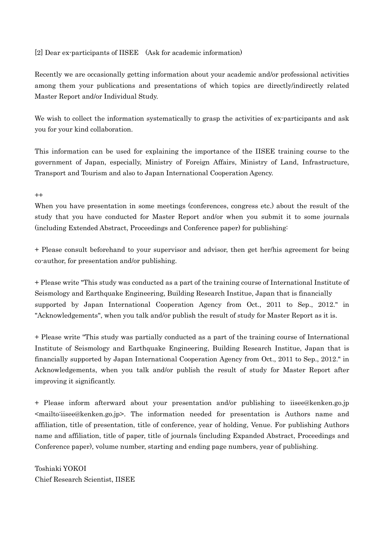[2] Dear ex-participants of IISEE (Ask for academic information)

Recently we are occasionally getting information about your academic and/or professional activities among them your publications and presentations of which topics are directly/indirectly related Master Report and/or Individual Study.

We wish to collect the information systematically to grasp the activities of ex-participants and ask you for your kind collaboration.

This information can be used for explaining the importance of the IISEE training course to the government of Japan, especially, Ministry of Foreign Affairs, Ministry of Land, Infrastructure, Transport and Tourism and also to Japan International Cooperation Agency.

 $^{++}$ 

When you have presentation in some meetings (conferences, congress etc.) about the result of the study that you have conducted for Master Report and/or when you submit it to some journals (including Extended Abstract, Proceedings and Conference paper) for publishing:

+ Please consult beforehand to your supervisor and advisor, then get her/his agreement for being co-author, for presentation and/or publishing.

+ Please write "This study was conducted as a part of the training course of International Institute of Seismology and Earthquake Engineering, Building Research Institue, Japan that is financially supported by Japan International Cooperation Agency from Oct., 2011 to Sep., 2012." in "Acknowledgements", when you talk and/or publish the result of study for Master Report as it is.

+ Please write "This study was partially conducted as a part of the training course of International Institute of Seismology and Earthquake Engineering, Building Research Institue, Japan that is financially supported by Japan International Cooperation Agency from Oct., 2011 to Sep., 2012." in Acknowledgements, when you talk and/or publish the result of study for Master Report after improving it significantly.

+ Please inform afterward about your presentation and/or publishing to iisee@kenken.go.jp <mailto:iisee@kenken.go.jp>. The information needed for presentation is Authors name and affiliation, title of presentation, title of conference, year of holding, Venue. For publishing Authors name and affiliation, title of paper, title of journals (including Expanded Abstract, Proceedings and Conference paper), volume number, starting and ending page numbers, year of publishing.

Toshiaki YOKOI Chief Research Scientist, IISEE